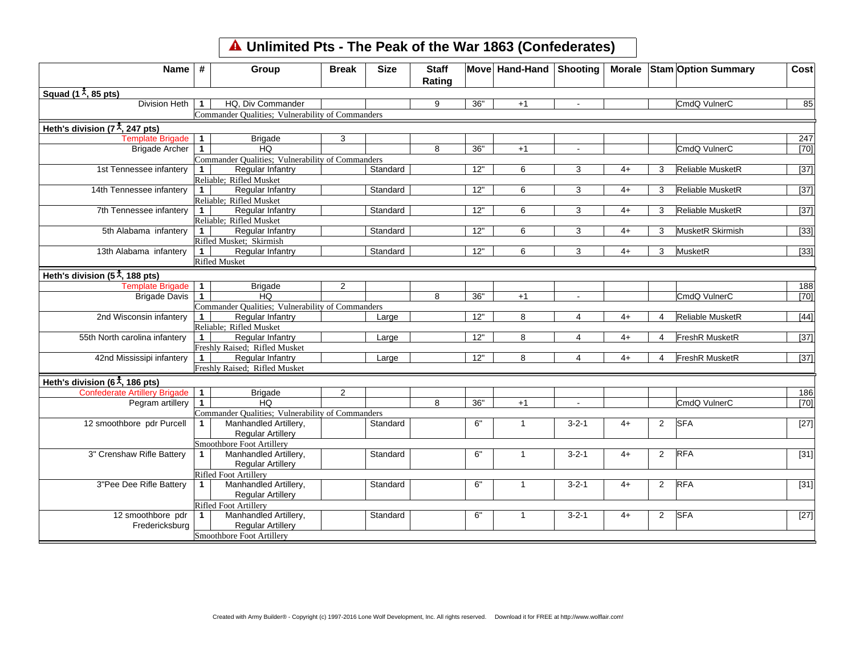## **Unlimited Pts - The Peak of the War 1863 (Confederates)**

| Name $#$                                                                |              | Group                                            | <b>Break</b>   | <b>Size</b> | <b>Staff</b><br>Rating |     | Move Hand-Hand | Shooting       |      |                | Morale Stam Option Summary | Cost              |
|-------------------------------------------------------------------------|--------------|--------------------------------------------------|----------------|-------------|------------------------|-----|----------------|----------------|------|----------------|----------------------------|-------------------|
| Squad (1 $\frac{1}{2}$ , 85 pts)                                        |              |                                                  |                |             |                        |     |                |                |      |                |                            |                   |
| <b>Division Heth</b>                                                    | $\mathbf{1}$ | HQ. Div Commander                                |                |             | 9                      | 36" | $+1$           | $\blacksquare$ |      |                | CmdQ VulnerC               | 85                |
|                                                                         |              | Commander Qualities; Vulnerability of Commanders |                |             |                        |     |                |                |      |                |                            |                   |
| Heth's division (7 <sup><math>\frac{1}{\lambda}</math></sup> , 247 pts) |              |                                                  |                |             |                        |     |                |                |      |                |                            |                   |
| Template Brigade                                                        | $\mathbf{1}$ | <b>Brigade</b>                                   | 3              |             |                        |     |                |                |      |                |                            | 247               |
| <b>Brigade Archer</b>                                                   | $\mathbf{1}$ | <b>HQ</b>                                        |                |             | 8                      | 36" | $+1$           | $\blacksquare$ |      |                | CmdQ VulnerC               | [70]              |
|                                                                         |              | Commander Qualities; Vulnerability of Commanders |                |             |                        |     |                |                |      |                |                            |                   |
| 1st Tennessee infantery                                                 | $\mathbf{1}$ | <b>Regular Infantry</b>                          |                | Standard    |                        | 12" | 6              | 3              | $4+$ | 3              | Reliable MusketR           | $[37]$            |
|                                                                         |              | Reliable; Rifled Musket                          |                |             |                        |     |                |                |      |                |                            |                   |
| 14th Tennessee infantery                                                | $\mathbf{1}$ | Regular Infantry                                 |                | Standard    |                        | 12" | 6              | 3              | $4+$ | 3              | Reliable MusketR           | $[37]$            |
|                                                                         |              | Reliable: Rifled Musket                          |                |             |                        |     |                |                |      |                |                            |                   |
| 7th Tennessee infantery                                                 | $\mathbf 1$  | Regular Infantry                                 |                | Standard    |                        | 12" | 6              | 3              | $4+$ | 3              | Reliable MusketR           | $\overline{[37]}$ |
|                                                                         |              | Reliable; Rifled Musket                          |                |             |                        |     |                |                |      |                |                            |                   |
| 5th Alabama infantery                                                   | $\mathbf{1}$ | Regular Infantry                                 |                | Standard    |                        | 12" | 6              | 3              | $4+$ | 3              | MusketR Skirmish           | $[33]$            |
|                                                                         |              | Rifled Musket; Skirmish                          |                |             |                        |     |                |                |      |                |                            |                   |
| 13th Alabama infantery                                                  | $\mathbf 1$  | Regular Infantry                                 |                | Standard    |                        | 12" | 6              | 3              | $4+$ | 3              | MusketR                    | $[33]$            |
|                                                                         |              | <b>Rifled Musket</b>                             |                |             |                        |     |                |                |      |                |                            |                   |
| Heth's division (5 $\frac{1}{\lambda}$ , 188 pts)                       |              |                                                  |                |             |                        |     |                |                |      |                |                            |                   |
| Template Brigade 1                                                      |              | <b>Brigade</b>                                   | $\overline{2}$ |             |                        |     |                |                |      |                |                            | 188               |
| <b>Brigade Davis</b>                                                    | $\mathbf 1$  | HQ.                                              |                |             | 8                      | 36" | $+1$           | $\sim$         |      |                | CmdQ VulnerC               | $[70]$            |
|                                                                         |              | Commander Qualities; Vulnerability of Commanders |                |             |                        |     |                |                |      |                |                            |                   |
| 2nd Wisconsin infantery                                                 | $\mathbf{1}$ | Regular Infantry                                 |                | Large       |                        | 12" | 8              | 4              | 4+   | 4              | Reliable MusketR           | $[44]$            |
|                                                                         |              | Reliable; Rifled Musket                          |                |             |                        |     |                |                |      |                |                            |                   |
| 55th North carolina infantery                                           | $\mathbf{1}$ | Regular Infantry                                 |                | Large       |                        | 12" | 8              | 4              | $4+$ | 4              | <b>FreshR MusketR</b>      | $[37]$            |
|                                                                         |              | Freshly Raised; Rifled Musket                    |                |             |                        |     |                |                |      |                |                            |                   |
| 42nd Mississipi infantery                                               | $\mathbf{1}$ | <b>Regular Infantry</b>                          |                | Large       |                        | 12" | 8              | $\overline{4}$ | $4+$ | 4              | FreshR MusketR             | $[37]$            |
|                                                                         |              | Freshly Raised: Rifled Musket                    |                |             |                        |     |                |                |      |                |                            |                   |
| Heth's division (6 <sup><math>\frac{4}{1}</math></sup> , 186 pts)       |              |                                                  |                |             |                        |     |                |                |      |                |                            |                   |
| Confederate Artillery Brigade                                           | $\mathbf{1}$ | <b>Brigade</b>                                   | $\overline{2}$ |             |                        |     |                |                |      |                |                            | 186               |
| Pegram artillery                                                        | $\mathbf{1}$ | <b>HQ</b>                                        |                |             | 8                      | 36" | $+1$           |                |      |                | CmdQ VulnerC               | $[70]$            |
|                                                                         |              | Commander Qualities; Vulnerability of Commanders |                |             |                        |     |                |                |      |                |                            |                   |
| 12 smoothbore pdr Purcell                                               | 1            | Manhandled Artillery,                            |                | Standard    |                        | 6"  | $\mathbf{1}$   | $3 - 2 - 1$    | $4+$ | $\overline{2}$ | <b>SFA</b>                 | $[27]$            |
|                                                                         |              | <b>Regular Artillery</b>                         |                |             |                        |     |                |                |      |                |                            |                   |
|                                                                         |              | Smoothbore Foot Artillery                        |                |             |                        |     |                |                |      |                |                            |                   |
| 3" Crenshaw Rifle Battery                                               | 1            | Manhandled Artillery,                            |                | Standard    |                        | 6"  | $\mathbf{1}$   | $3 - 2 - 1$    | $4+$ | $\overline{2}$ | <b>RFA</b>                 | $[31]$            |
|                                                                         |              | <b>Regular Artillery</b>                         |                |             |                        |     |                |                |      |                |                            |                   |
|                                                                         |              | Rifled Foot Artillery                            |                |             |                        |     |                |                |      |                |                            |                   |
| 3"Pee Dee Rifle Battery                                                 | $\mathbf 1$  | Manhandled Artillery,                            |                | Standard    |                        | 6"  | $\mathbf{1}$   | $3 - 2 - 1$    | $4+$ | $\overline{2}$ | <b>RFA</b>                 | $[31]$            |
|                                                                         |              | <b>Regular Artillery</b>                         |                |             |                        |     |                |                |      |                |                            |                   |
|                                                                         |              | Rifled Foot Artillery                            |                |             |                        |     |                |                |      |                |                            |                   |
| 12 smoothbore pdr                                                       | $\mathbf{1}$ | Manhandled Artillery,                            |                | Standard    |                        | 6"  | 1              | $3 - 2 - 1$    | 4+   | $\overline{2}$ | <b>SFA</b>                 | $[27]$            |
| Fredericksburg                                                          |              | <b>Regular Artillery</b>                         |                |             |                        |     |                |                |      |                |                            |                   |
|                                                                         |              | Smoothbore Foot Artillery                        |                |             |                        |     |                |                |      |                |                            |                   |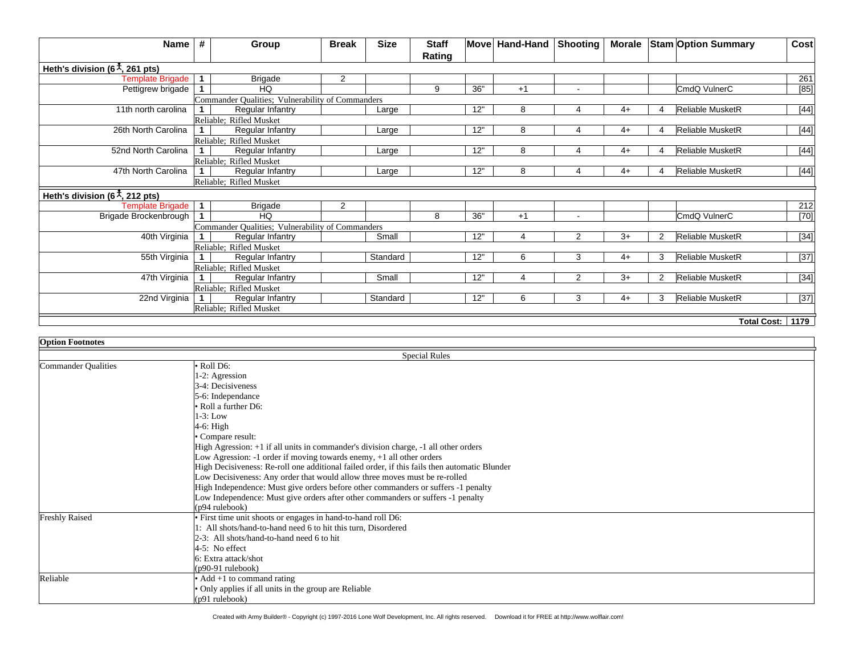| Name                                                           | #            | Group                                            | <b>Break</b> | <b>Size</b> | <b>Staff</b> |     | Move Hand-Hand | Shooting      |      |               | Morale Stam Option Summary | Cost             |
|----------------------------------------------------------------|--------------|--------------------------------------------------|--------------|-------------|--------------|-----|----------------|---------------|------|---------------|----------------------------|------------------|
|                                                                |              |                                                  |              |             | Rating       |     |                |               |      |               |                            |                  |
| Heth's division (6 <sup><math>\ddagger</math></sup> , 261 pts) |              |                                                  |              |             |              |     |                |               |      |               |                            |                  |
| <b>Template Brigade</b>                                        | $\mathbf{1}$ | <b>Brigade</b>                                   | 2            |             |              |     |                |               |      |               |                            | 261              |
| Pettigrew brigade                                              | $\mathbf 1$  | HQ                                               |              |             | 9            | 36" | $+1$           |               |      |               | CmdQ VulnerC               | [85]             |
|                                                                |              | Commander Qualities; Vulnerability of Commanders |              |             |              |     |                |               |      |               |                            |                  |
| 11th north carolina                                            |              | Regular Infantry                                 |              | Large       |              | 12" | 8              |               | $4+$ | 4             | Reliable MusketR           | $[44]$           |
|                                                                |              | Reliable; Rifled Musket                          |              |             |              |     |                |               |      |               |                            |                  |
| 26th North Carolina                                            |              | Regular Infantry                                 |              | Large       |              | 12" | 8              | 4             | $4+$ | Δ             | Reliable MusketR           | $[44]$           |
|                                                                |              | Reliable: Rifled Musket                          |              |             |              |     |                |               |      |               |                            |                  |
| 52nd North Carolina                                            | $\mathbf 1$  | Regular Infantry                                 |              | Large       |              | 12" | 8              |               | $4+$ | Δ             | Reliable MusketR           | $[44]$           |
|                                                                |              | Reliable; Rifled Musket                          |              |             |              |     |                |               |      |               |                            |                  |
| 47th North Carolina                                            |              | Regular Infantry                                 |              | Large       |              | 12" | 8              |               | 4+   |               | Reliable MusketR           | $[44]$           |
|                                                                |              | Reliable; Rifled Musket                          |              |             |              |     |                |               |      |               |                            |                  |
| Heth's division (6 <sup><math>\ddagger</math></sup> , 212 pts) |              |                                                  |              |             |              |     |                |               |      |               |                            |                  |
| <b>Template Brigade</b>                                        | $\mathbf 1$  | <b>Brigade</b>                                   | 2            |             |              |     |                |               |      |               |                            | 212              |
| Brigade Brockenbrough                                          | $\mathbf 1$  | HQ.                                              |              |             | 8            | 36" | $+1$           |               |      |               | CmdQ VulnerC               | $[70]$           |
|                                                                |              | Commander Qualities; Vulnerability of Commanders |              |             |              |     |                |               |      |               |                            |                  |
| 40th Virginia                                                  |              | Regular Infantry                                 |              | Small       |              | 12" | 4              | 2             | $3+$ | 2             | Reliable MusketR           | $[34]$           |
|                                                                |              | Reliable; Rifled Musket                          |              |             |              |     |                |               |      |               |                            |                  |
| 55th Virginia                                                  | 1.           | Regular Infantry                                 |              | Standard    |              | 12" | 6              | 3             | $4+$ | 3             | Reliable MusketR           | $[37]$           |
|                                                                |              | Reliable; Rifled Musket                          |              |             |              |     |                |               |      |               |                            |                  |
| 47th Virginia                                                  |              | Regular Infantry                                 |              | Small       |              | 12" | $\Lambda$      | $\mathcal{P}$ | $3+$ | $\mathcal{P}$ | Reliable MusketR           | $[34]$           |
|                                                                |              | Reliable: Rifled Musket                          |              |             |              |     |                |               |      |               |                            |                  |
| 22nd Virginia                                                  | $\mathbf{1}$ | Regular Infantry                                 |              | Standard    |              | 12" | 6              | 3             | $4+$ | 3             | Reliable MusketR           | $[37]$           |
|                                                                |              | Reliable; Rifled Musket                          |              |             |              |     |                |               |      |               |                            |                  |
|                                                                |              |                                                  |              |             |              |     |                |               |      |               |                            |                  |
|                                                                |              |                                                  |              |             |              |     |                |               |      |               |                            | Total Cost: 1179 |

| <b>Option Footnotes</b> |                                                                                              |  |  |  |  |  |  |
|-------------------------|----------------------------------------------------------------------------------------------|--|--|--|--|--|--|
|                         | <b>Special Rules</b>                                                                         |  |  |  |  |  |  |
| Commander Qualities     | $\bullet$ Roll D6:                                                                           |  |  |  |  |  |  |
|                         | 1-2: Agression                                                                               |  |  |  |  |  |  |
|                         | 3-4: Decisiveness                                                                            |  |  |  |  |  |  |
|                         | 5-6: Independance                                                                            |  |  |  |  |  |  |
|                         | $\cdot$ Roll a further D6:                                                                   |  |  |  |  |  |  |
|                         | $1-3$ : Low                                                                                  |  |  |  |  |  |  |
|                         | $4-6$ : High                                                                                 |  |  |  |  |  |  |
|                         | • Compare result:                                                                            |  |  |  |  |  |  |
|                         | High Agression: +1 if all units in commander's division charge, -1 all other orders          |  |  |  |  |  |  |
|                         | Low Agression: -1 order if moving towards enemy, +1 all other orders                         |  |  |  |  |  |  |
|                         | High Decisiveness: Re-roll one additional failed order, if this fails then automatic Blunder |  |  |  |  |  |  |
|                         | Low Decisiveness: Any order that would allow three moves must be re-rolled                   |  |  |  |  |  |  |
|                         | High Independence: Must give orders before other commanders or suffers -1 penalty            |  |  |  |  |  |  |
|                         | Low Independence: Must give orders after other commanders or suffers -1 penalty              |  |  |  |  |  |  |
|                         | (p94 rulebook)                                                                               |  |  |  |  |  |  |
| <b>Freshly Raised</b>   | • First time unit shoots or engages in hand-to-hand roll D6:                                 |  |  |  |  |  |  |
|                         | 1: All shots/hand-to-hand need 6 to hit this turn, Disordered                                |  |  |  |  |  |  |
|                         | 2-3: All shots/hand-to-hand need 6 to hit                                                    |  |  |  |  |  |  |
|                         | $4-5$ : No effect                                                                            |  |  |  |  |  |  |
|                         | 6: Extra attack/shot                                                                         |  |  |  |  |  |  |
|                         | $(p90-91$ rulebook)                                                                          |  |  |  |  |  |  |
| Reliable                | • Add $+1$ to command rating                                                                 |  |  |  |  |  |  |
|                         | • Only applies if all units in the group are Reliable                                        |  |  |  |  |  |  |
|                         | (p91 rulebook)                                                                               |  |  |  |  |  |  |

Created with Army Builder® - Copyright (c) 1997-2016 Lone Wolf Development, Inc. All rights reserved. Download it for FREE at http://www.wolflair.com!